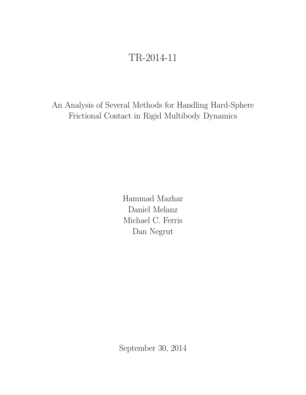# TR-2014-11

An Analysis of Several Methods for Handling Hard-Sphere Frictional Contact in Rigid Multibody Dynamics

> Hammad Mazhar Daniel Melanz Michael C. Ferris Dan Negrut

September 30, 2014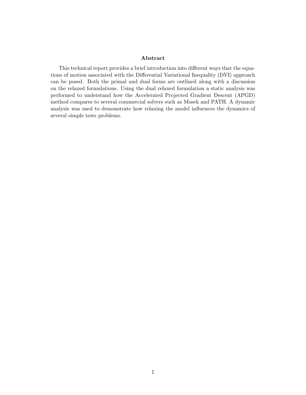#### Abstract

This technical report provides a brief introduction into different ways that the equations of motion associated with the Differential Variational Inequality (DVI) approach can be posed. Both the primal and dual forms are outlined along with a discussion on the relaxed formulations. Using the dual relaxed formulation a static analysis was performed to understand how the Accelerated Projected Gradient Descent (APGD) method compares to several commercial solvers such as Mosek and PATH. A dynamic analysis was used to demonstrate how relaxing the model influences the dynamics of several simple tests problems.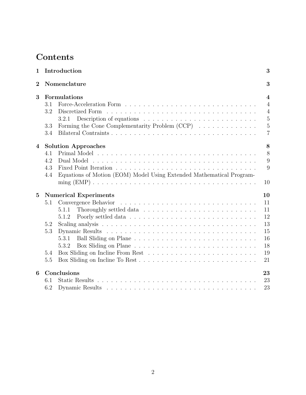# Contents

| 1              | Introduction                                                                                                                                 | 3                                                                                             |
|----------------|----------------------------------------------------------------------------------------------------------------------------------------------|-----------------------------------------------------------------------------------------------|
| $\overline{2}$ | Nomenclature                                                                                                                                 | 3                                                                                             |
| 3              | Formulations<br>3.1<br>3.2<br>Discretized Form<br>3.2.1<br>Forming the Cone Complementarity Problem (CCP)<br>3.3<br>3.4                      | $\boldsymbol{4}$<br>$\overline{4}$<br>$\overline{4}$<br>$\overline{5}$<br>5<br>$\overline{7}$ |
| 4              | <b>Solution Approaches</b><br>4.1<br>4.2<br>Dual Model<br>4.3<br>Equations of Motion (EOM) Model Using Extended Mathematical Program-<br>4.4 | 8<br>8<br>9<br>9<br>10                                                                        |
| $\overline{5}$ | <b>Numerical Experiments</b><br>Convergence Behavior<br>5.1<br>5.1.1<br>5.1.2<br>5.2<br>5.3<br>5.3.1<br>5.3.2<br>5.4<br>5.5                  | 10<br>11<br>11<br>12<br>13<br>15<br>16<br>18<br>19<br>21                                      |
| 6              | Conclusions<br>6.1<br>6.2                                                                                                                    | 23<br>23<br>23                                                                                |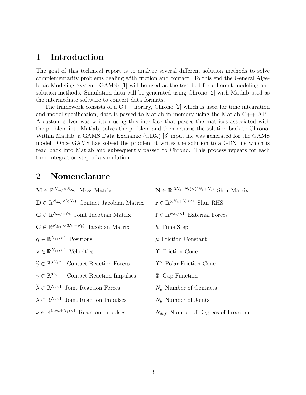## 1 Introduction

The goal of this technical report is to analyze several different solution methods to solve complementarity problems dealing with friction and contact. To this end the General Algebraic Modeling System (GAMS) [1] will be used as the test bed for different modeling and solution methods. Simulation data will be generated using Chrono [2] with Matlab used as the intermediate software to convert data formats.

The framework consists of a  $C_{++}$  library, Chrono [2] which is used for time integration and model specification, data is passed to Matlab in memory using the Matlab  $C_{++}$  API. A custom solver was written using this interface that passes the matrices associated with the problem into Matlab, solves the problem and then returns the solution back to Chrono. Within Matlab, a GAMS Data Exchange (GDX) [3] input file was generated for the GAMS model. Once GAMS has solved the problem it writes the solution to a GDX file which is read back into Matlab and subsequently passed to Chrono. This process repeats for each time integration step of a simulation.

# 2 Nomenclature

| $\mathbf{M} \in \mathbb{R}^{N_{dof} \times N_{dof}}$ Mass Matrix            | $\mathbf{N} \in \mathbb{R}^{(3N_c+N_b)\times(3N_c+N_b)}$ Shur Matrix |
|-----------------------------------------------------------------------------|----------------------------------------------------------------------|
| $\mathbf{D} \in \mathbb{R}^{N_{dof} \times (3N_c)}$ Contact Jacobian Matrix | $\mathbf{r} \in \mathbb{R}^{(3N_c+N_b)\times 1}$ Shur RHS            |
| $\mathbf{G} \in \mathbb{R}^{N_{dof} \times N_b}$ Joint Jacobian Matrix      | $\mathbf{f} \in \mathbb{R}^{N_{dof} \times 1}$ External Forces       |
| $\mathbf{C} \in \mathbb{R}^{N_{dof} \times (3N_c+N_b)}$ Jacobian Matrix     | h Time Step                                                          |
| $\mathbf{q} \in \mathbb{R}^{N_{dof} \times 1}$ Positions                    | $\mu$ Friction Constant                                              |
| $\mathbf{v} \in \mathbb{R}^{N_{dof} \times 1}$ Velocities                   | T Friction Cone                                                      |
| $\widehat{\gamma} \in \mathbb{R}^{3N_c \times 1}$ Contact Reaction Forces   | $\Upsilon$ <sup>o</sup> Polar Friction Cone                          |
| $\gamma \in \mathbb{R}^{3N_c \times 1}$ Contact Reaction Impulses           | $\Phi$ Gap Function                                                  |
| $\widehat{\lambda} \in \mathbb{R}^{N_b \times 1}$ Joint Reaction Forces     | $N_c$ Number of Contacts                                             |
| $\lambda \in \mathbb{R}^{N_b \times 1}$ Joint Reaction Impulses             | $Nb$ Number of Joints                                                |
| $\nu \in \mathbb{R}^{(3N_c+N_b)\times 1}$ Reaction Impulses                 | $N_{dof}$ Number of Degrees of Freedom                               |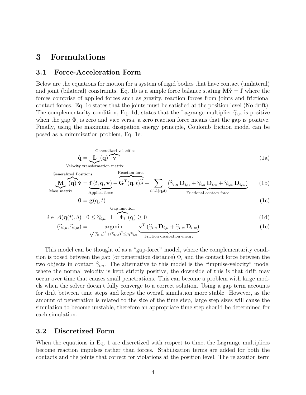# 3 Formulations

### 3.1 Force-Acceleration Form

Below are the equations for motion for a system of rigid bodies that have contact (unilateral) and joint (bilateral) constraints. Eq. 1b is a simple force balance stating  $M\dot{v} = f$  where the forces comprise of applied forces such as gravity, reaction forces from joints and frictional contact forces. Eq. 1c states that the joints must be satisfied at the position level (No drift). The complementarity condition, Eq. 1d, states that the Lagrange multiplier  $\hat{\gamma}_{i,n}$  is positive when the gap  $\Phi_i$  is zero and vice versa, a zero reaction force means that the gap is positive. Finally, using the maximum dissipation energy principle, Coulomb friction model can be posed as a minimization problem, Eq. 1e.

$$
\dot{\mathbf{q}} = \underbrace{\mathbf{L}}_{\mathbf{q}}(\mathbf{q}) \mathbf{v} \tag{1a}
$$

Velocity transformation matrix

Generalized Positions  
\n
$$
\underbrace{\mathbf{M}}_{\text{Mass matrix}}(\mathbf{q})\dot{\mathbf{v}} = \underbrace{\mathbf{f}(t, \mathbf{q}, \mathbf{v})}_{\text{Applied force}} - \overbrace{\mathbf{G}^{\text{T}}(\mathbf{q}, t)\hat{\lambda}}^{\text{Reaction force}} + \sum_{i \in \mathcal{A}(\mathbf{q}, \delta)} \underbrace{(\hat{\gamma}_{i,n} \mathbf{D}_{i,n} + \hat{\gamma}_{i,u} \mathbf{D}_{i,u} + \hat{\gamma}_{i,w} \mathbf{D}_{i,w})}_{\text{Frictional contact force}}
$$
\n(1b)

$$
\mathbf{0} = \mathbf{g}(\mathbf{q}, t) \tag{1c}
$$

$$
f_{\rm{max}}(x)=\frac{1}{2}x
$$

$$
i \in \mathcal{A}(\mathbf{q}(t), \delta) : 0 \le \widehat{\gamma}_{i,n} \perp \widehat{\Phi_i}(\mathbf{q}) \ge 0
$$
\n(1d)

$$
(\widehat{\gamma}_{i,u}, \widehat{\gamma}_{i,w}) = \underset{\sqrt{(\widehat{\gamma}_{i,u})^2 + (\widehat{\gamma}_{i,w})^2} < \mu_i \widehat{\gamma}_i}{\text{argmin}} \underbrace{\mathbf{v}^T \left( \widehat{\gamma}_{i,u} \, \mathbf{D}_{i,u} + \widehat{\gamma}_{i,w} \, \mathbf{D}_{i,w} \right)}_{\text{max}} \tag{1e}
$$

$$
\sqrt{(\widehat{\gamma}_{i,u})^2 + (\widehat{\gamma}_{i,w})^2} \leq \mu_i \widehat{\gamma}_{i,n}
$$
 Friction dissipation energy

Reaction force

Gap function

This model can be thought of as a "gap-force" model, where the complementarity condition is posed between the gap (or penetration distance)  $\Phi_i$  and the contact force between the two objects in contact  $\hat{\gamma}_{i,n}$ . The alternative to this model is the "impulse-velocity" model where the normal velocity is kept strictly positive, the downside of this is that drift may occur over time that causes small penetrations. This can become a problem with large models when the solver doesn't fully converge to a correct solution. Using a gap term accounts for drift between time steps and keeps the overall simulation more stable. However, as the amount of penetration is related to the size of the time step, large step sizes will cause the simulation to become unstable, therefore an appropriate time step should be determined for each simulation.

#### 3.2 Discretized Form

When the equations in Eq. 1 are discretized with respect to time, the Lagrange multipliers become reaction impulses rather than forces. Stabilization terms are added for both the contacts and the joints that correct for violations at the position level. The relaxation term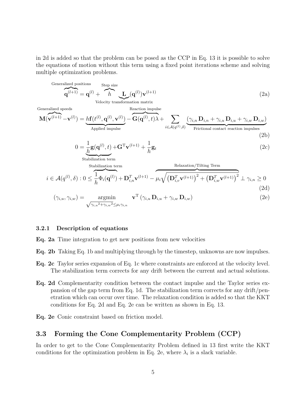in 2d is added so that the problem can be posed as the CCP in Eq. 13 it is possible to solve the equations of motion without this term using a fixed point iterations scheme and solving multiple optimization problems.

Generalized positions  
\n
$$
\mathbf{q}^{(l+1)} = \mathbf{q}^{(l)} + \hbar \sum_{\text{Velocity transformation matrix}}^{\text{Step size}} \mathbf{L}_{\text{in}}
$$
\n(2a)  
\nGeneralized speeds  
\n
$$
\mathbf{M}(\mathbf{v}^{(l+1)} - \mathbf{v}^{(l)}) = h\mathbf{f}(t^{(l)}, \mathbf{q}^{(l)}, \mathbf{v}^{(l)}) - \mathbf{G}(\mathbf{q}^{(l)}, t) \lambda + \sum_{i \in \mathcal{A}(q^{(l)}, \delta)} (\gamma_{i,n} \mathbf{D}_{i,n} + \gamma_{i,u} \mathbf{D}_{i,u} + \gamma_{i,w} \mathbf{D}_{i,w})
$$
\n(2b)  
\n
$$
0 = \frac{1}{h} \mathbf{g}(\mathbf{q}^{(l)}, t) + \mathbf{G}^{\mathrm{T}} \mathbf{v}^{(l+1)} + \frac{1}{h} \mathbf{g}_{t}
$$
\n(2c)  
\nStabilization term  
\nStabilization term  
\n
$$
i \in \mathcal{A}(q^{(l)}, \delta) : 0 \leq \frac{1}{h} \Phi_{i}(\mathbf{q}^{(l)}) + \mathbf{D}_{i,n}^{\mathrm{T}} \mathbf{v}^{(l+1)} - \mu_{i} \sqrt{(\mathbf{D}_{i,v}^{\mathrm{T}} \mathbf{v}^{(l+1)})^{2} + (\mathbf{D}_{i,v}^{\mathrm{T}} \mathbf{v}^{(l+1)})^{2}} + \gamma_{i,n} \geq 0
$$
\n(2d)  
\n
$$
(\gamma_{i,u}, \gamma_{i,w}) = \underset{\sqrt{\gamma_{i,u}^{2} + \gamma_{i,w}^{2}} \leq \mu_{i} \gamma_{i,n}}{\operatorname{argmin}} \mathbf{v}^{\mathrm{T}}(\gamma_{i,u} \mathbf{D}_{i,u} + \gamma_{i,w} \mathbf{D}_{i,w})
$$
\n(2e)

#### 3.2.1 Description of equations

Eq. 2a Time integration to get new positions from new velocities

- Eq. 2b Taking Eq. 1b and multiplying through by the timestep, unknowns are now impulses.
- Eq. 2c Taylor series expansion of Eq. 1c where constraints are enforced at the velocity level. The stabilization term corrects for any drift between the current and actual solutions.
- Eq. 2d Complementarity condition between the contact impulse and the Taylor series expansion of the gap term from Eq. 1d. The stabilization term corrects for any drift/penetration which can occur over time. The relaxation condition is added so that the KKT conditions for Eq. 2d and Eq. 2e can be written as shown in Eq. 13.
- Eq. 2e Conic constraint based on friction model.

#### 3.3 Forming the Cone Complementarity Problem (CCP)

In order to get to the Cone Complementarity Problem defined in 13 first write the KKT conditions for the optimization problem in Eq. 2e, where  $\lambda_i$  is a slack variable.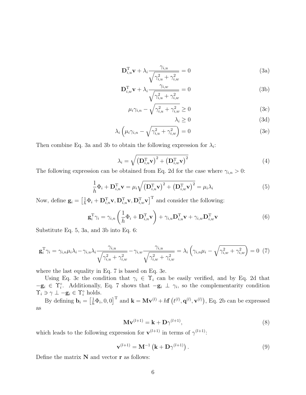$$
\mathbf{D}_{i,u}^{\mathrm{T}} \mathbf{v} + \lambda_i \frac{\gamma_{i,u}}{\sqrt{\gamma_{i,u}^2 + \gamma_{i,w}^2}} = 0
$$
 (3a)

$$
\mathbf{D}_{i,w}^{\mathrm{T}} \mathbf{v} + \lambda_i \frac{\gamma_{i,w}}{\sqrt{\gamma_{i,u}^2 + \gamma_{i,w}^2}} = 0
$$
 (3b)

$$
\mu_i \gamma_{i,n} - \sqrt{\gamma_{i,u}^2 + \gamma_{i,w}^2} \ge 0
$$
\n(3c)

$$
\lambda_i \ge 0 \tag{3d}
$$

$$
\lambda_i \left( \mu_i \gamma_{i,n} - \sqrt{\gamma_{i,u}^2 + \gamma_{i,w}^2} \right) = 0 \tag{3e}
$$

Then combine Eq. 3a and 3b to obtain the following expression for  $\lambda_i$ :

$$
\lambda_i = \sqrt{\left(\mathbf{D}_{i,u}^{\mathrm{T}} \mathbf{v}\right)^2 + \left(\mathbf{D}_{i,w}^{\mathrm{T}} \mathbf{v}\right)^2}
$$
(4)

The following expression can be obtained from Eq. 2d for the case where  $\gamma_{i,n} > 0$ :

$$
\frac{1}{h}\Phi_i + \mathbf{D}_{i,n}^{\mathrm{T}}\mathbf{v} = \mu_i \sqrt{\left(\mathbf{D}_{i,u}^{\mathrm{T}}\mathbf{v}\right)^2 + \left(\mathbf{D}_{i,w}^{\mathrm{T}}\mathbf{v}\right)^2} = \mu_i \lambda_i
$$
\n(5)

Now, define  $\mathbf{g}_i = \left[\frac{1}{h}\Phi_i + \mathbf{D}_{i,n}^{\mathrm{T}}\mathbf{v}, \mathbf{D}_{i,u}^{\mathrm{T}}\mathbf{v}, \mathbf{D}_{i,w}^{\mathrm{T}}\mathbf{v}\right]^{\mathrm{T}}$  and consider the following:

$$
\mathbf{g}_i^{\mathrm{T}} \gamma_i = \gamma_{i,n} \left( \frac{1}{h} \Phi_i + \mathbf{D}_{i,n}^{\mathrm{T}} \mathbf{v} \right) + \gamma_{i,u} \mathbf{D}_{i,u}^{\mathrm{T}} \mathbf{v} + \gamma_{i,w} \mathbf{D}_{i,w}^{\mathrm{T}} \mathbf{v}
$$
(6)

Substitute Eq. 5, 3a, and 3b into Eq. 6:

$$
\mathbf{g}_i^{\mathrm{T}} \gamma_i = \gamma_{i,n} \mu_i \lambda_i - \gamma_{i,u} \lambda_i \frac{\gamma_{i,u}}{\sqrt{\gamma_{i,u}^2 + \gamma_{i,w}^2}} - \gamma_{i,w} \frac{\gamma_{i,u}}{\sqrt{\gamma_{i,w}^2 + \gamma_{i,w}^2}} = \lambda_i \left( \gamma_{i,n} \mu_i - \sqrt{\gamma_{i,w}^2 + \gamma_{i,w}^2} \right) = 0 \tag{7}
$$

where the last equality in Eq. 7 is based on Eq. 3e.

Using Eq. 3c the condition that  $\gamma_i \in \Upsilon_i$  can be easily verified, and by Eq. 2d that  $-\mathbf{g}_i \in \Upsilon_i^{\circ}$ . Additionally, Eq. 7 shows that  $-\mathbf{g}_i \perp \gamma_i$ , so the complementarity condition  $\Upsilon_i \ni \gamma \perp -\mathbf{g}_i \in \Upsilon_i^{\circ}$  holds.

By defining  $\mathbf{b}_i = \left[\frac{1}{h}\Phi_i, 0, 0\right]^{\mathrm{T}}$  and  $\mathbf{k} = \mathbf{M}\mathbf{v}^{(l)} + h\mathbf{f}\left(t^{(l)}, \mathbf{q}^{(l)}, \mathbf{v}^{(l)}\right)$ , Eq. 2b can be expressed as

$$
\mathbf{M}\mathbf{v}^{(l+1)} = \mathbf{k} + \mathbf{D}\gamma^{(l+1)},\tag{8}
$$

which leads to the following expression for  $\mathbf{v}^{(l+1)}$  in terms of  $\gamma^{(l+1)}$ :

$$
\mathbf{v}^{(l+1)} = \mathbf{M}^{-1} \left( \mathbf{k} + \mathbf{D} \gamma^{(l+1)} \right). \tag{9}
$$

Define the matrix  $N$  and vector  $r$  as follows: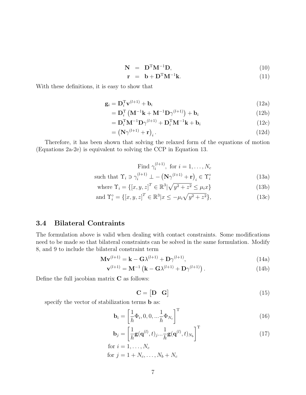$$
\mathbf{N} = \mathbf{D}^{\mathrm{T}} \mathbf{M}^{-1} \mathbf{D},\tag{10}
$$

$$
\mathbf{r} = \mathbf{b} + \mathbf{D}^{\mathrm{T}} \mathbf{M}^{-1} \mathbf{k}.
$$
 (11)

With these definitions, it is easy to show that

$$
\mathbf{g}_i = \mathbf{D}_i^{\mathrm{T}} \mathbf{v}^{(l+1)} + \mathbf{b}_i \tag{12a}
$$

$$
= \mathbf{D}_i^{\mathrm{T}} \left( \mathbf{M}^{-1} \mathbf{k} + \mathbf{M}^{-1} \mathbf{D} \gamma^{(l+1)} \right) + \mathbf{b}_i \tag{12b}
$$

$$
= \mathbf{D}_i^{\mathrm{T}} \mathbf{M}^{-1} \mathbf{D} \gamma^{(l+1)} + \mathbf{D}_i^{\mathrm{T}} \mathbf{M}^{-1} \mathbf{k} + \mathbf{b}_i
$$
 (12c)

$$
= \left(\mathbf{N}\gamma^{(l+1)} + \mathbf{r}\right)_i. \tag{12d}
$$

Therefore, it has been shown that solving the relaxed form of the equations of motion (Equations 2a-2e) is equivalent to solving the CCP in Equation 13.

Find 
$$
\gamma_i^{(l+1)}
$$
, for  $i = 1, ..., N_c$   
such that  $\Upsilon_i \ni \gamma_i^{(l+1)} \perp - (\mathbf{N}\gamma^{(l+1)} + \mathbf{r})_i \in \Upsilon_i^{\circ}$  (13a)

where 
$$
\Upsilon_i = \{ [x, y, z]^T \in \mathbb{R}^3 | \sqrt{y^2 + z^2} \le \mu_i x \}
$$
 (13b)

and 
$$
\Upsilon_i^{\circ} = \{ [x, y, z]^T \in \mathbb{R}^3 | x \le -\mu_i \sqrt{y^2 + z^2} \},
$$
 (13c)

### 3.4 Bilateral Contraints

The formulation above is valid when dealing with contact constraints. Some modifications need to be made so that bilateral constraints can be solved in the same formulation. Modify 8, and 9 to include the bilateral constraint term

$$
\mathbf{M}\mathbf{v}^{(l+1)} = \mathbf{k} - \mathbf{G}\lambda^{(l+1)} + \mathbf{D}\gamma^{(l+1)},\tag{14a}
$$

$$
\mathbf{v}^{(l+1)} = \mathbf{M}^{-1} \left( \mathbf{k} - \mathbf{G} \lambda^{(l+1)} + \mathbf{D} \gamma^{(l+1)} \right). \tag{14b}
$$

Define the full jacobian matrix  $C$  as follows:

$$
\mathbf{C} = \begin{bmatrix} \mathbf{D} & \mathbf{G} \end{bmatrix} \tag{15}
$$

specify the vector of stabilization terms b as:

$$
\mathbf{b}_{i} = \left[\frac{1}{h}\Phi_{i}, 0, 0, \ldots, \frac{1}{h}\Phi_{N_c}\right]^{\mathrm{T}}
$$
\n(16)

$$
\mathbf{b}_{j} = \left[\frac{1}{h}\mathbf{g}(\mathbf{q}^{(l)}, t)_{j}...\frac{1}{h}\mathbf{g}(\mathbf{q}^{(l)}, t)_{N_{b}}\right]^{\mathrm{T}}
$$
(17)

for 
$$
i = 1, ..., N_c
$$
  
for  $j = 1 + N_c, ..., N_b + N_c$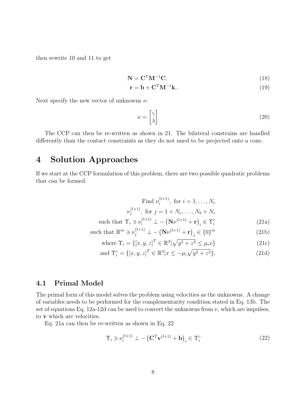then rewrite 10 and 11 to get

$$
\mathbf{N} = \mathbf{C}^{\mathrm{T}} \mathbf{M}^{-1} \mathbf{C},\tag{18}
$$

$$
\mathbf{r} = \mathbf{b} + \mathbf{C}^{\mathrm{T}} \mathbf{M}^{-1} \mathbf{k} \tag{19}
$$

Next specify the new vector of unknowns  $\nu$ :

$$
\nu = \begin{bmatrix} \gamma \\ \lambda \end{bmatrix} \tag{20}
$$

The CCP can then be re-written as shown in 21. The bilateral constrains are handled differently than the contact constraints as they do not nned to be projected onto a cone.

## 4 Solution Approaches

If we start at the CCP formulation of this problem, there are two possible quadratic problems that can be formed.

Find 
$$
\nu_i^{(l+1)}
$$
, for  $i = 1, ..., N_c$   
\n
$$
\nu_j^{(l+1)}, \text{ for } j = 1 + N_c, ..., N_b + N_c
$$
\nsuch that  $\Upsilon_i \ni \nu_i^{(l+1)} \perp - (\mathbf{N}\nu^{(l+1)} + \mathbf{r})_i \in \Upsilon_i^\circ$  (21a)  
\nsuch that  $\mathbb{R}^m \ni \nu_j^{(l+1)} \perp - (\mathbf{N}\nu^{(l+1)} + \mathbf{r})_j \in \{0\}^m$  (21b)

where 
$$
\Upsilon_i = \{ [x, y, z]^T \in \mathbb{R}^3 | \sqrt{y^2 + z^2} \le \mu_i x \}
$$
 (21c)

and 
$$
\Upsilon_i^{\circ} = \{ [x, y, z]^T \in \mathbb{R}^3 | x \le -\mu_i \sqrt{y^2 + z^2} \},
$$
 (21d)

### 4.1 Primal Model

The primal form of this model solves the problem using velocities as the unknowns. A change of variables needs to be performed for the complementarity condition stated in Eq. 13b. The set of equations Eq. 12a-12d can be used to convert the unknowns from  $\nu$ , which are impulses, to v which are velocities.

Eq. 21a can then be re-written as shown in Eq. 22

$$
\Upsilon_i \ni \nu_i^{(l+1)} \perp - (\mathbf{C}^{\mathrm{T}} \mathbf{v}^{(l+1)} + \mathbf{b})_i \in \Upsilon_i^{\circ} \tag{22}
$$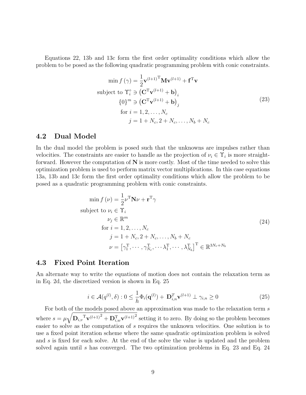Equations 22, 13b and 13c form the first order optimality conditions which allow the problem to be posed as the following quadratic programming problem with conic constraints.

$$
\min f(\gamma) = \frac{1}{2} \mathbf{v}^{(l+1)T} \mathbf{M} \mathbf{v}^{(l+1)} + \mathbf{f}^{T} \mathbf{v}
$$
\nsubject to  $\Upsilon_i^{\circ} \ni (\mathbf{C}^{T} \mathbf{v}^{(l+1)} + \mathbf{b})_i$ \n
$$
\{0\}^{m} \ni (\mathbf{C}^{T} \mathbf{v}^{(l+1)} + \mathbf{b})_j
$$
\nfor  $i = 1, 2, ..., N_c$ \n
$$
j = 1 + N_c, 2 + N_c, ..., N_b + N_c
$$
\n(23)

### 4.2 Dual Model

In the dual model the problem is posed such that the unknowns are impulses rather than velocities. The constraints are easier to handle as the projection of  $\nu_i \in \Upsilon_i$  is more straightforward. However the computation of  $N$  is more costly. Most of the time needed to solve this optimization problem is used to perform matrix vector multiplications. In this case equations 13a, 13b and 13c form the first order optimality conditions which allow the problem to be posed as a quadratic programming problem with conic constraints.

$$
\min f(\nu) = \frac{1}{2} \nu^{\mathrm{T}} \mathbf{N} \nu + \mathbf{r}^{\mathrm{T}} \gamma
$$
\n
$$
\text{subject to } \nu_{i} \in \Upsilon_{i}
$$
\n
$$
\nu_{j} \in \mathbb{R}^{m}
$$
\n
$$
\text{for } i = 1, 2, \dots, N_{c}
$$
\n
$$
j = 1 + N_{c}, 2 + N_{c}, \dots, N_{b} + N_{c}
$$
\n
$$
\nu = \left[ \gamma_{1}^{\mathrm{T}}, \dots, \gamma_{N_{c}}^{\mathrm{T}}, \dots, \gamma_{N_{b}}^{\mathrm{T}} \right]^{\mathrm{T}} \in \mathbb{R}^{3N_{c} + N_{b}}
$$
\n(24)

#### 4.3 Fixed Point Iteration

An alternate way to write the equations of motion does not contain the relaxation term as in Eq. 2d, the discretized version is shown in Eq. 25

$$
i \in \mathcal{A}(q^{(l)}, \delta) : 0 \le \frac{1}{h} \Phi_i(\mathbf{q}^{(l)}) + \mathbf{D}_{i,n}^T \mathbf{v}^{(l+1)} \perp \gamma_{i,n} \ge 0
$$
\n(25)

For both of the models posed above an approximation was made to the relaxation term s where  $s = \mu \sqrt{\mathbf{D}_{i,v}^{\mathrm{T}} \mathbf{v}^{(l+1)^2} + \mathbf{D}_{i,w}^{\mathrm{T}} \mathbf{v}^{(l+1)^2}}$  setting it to zero. By doing so the problem becomes easier to solve as the computation of s requires the unknown velocities. One solution is to use a fixed point iteration scheme where the same quadratic optimization problem is solved and s is fixed for each solve. At the end of the solve the value is updated and the problem solved again until s has converged. The two optimization problems in Eq. 23 and Eq. 24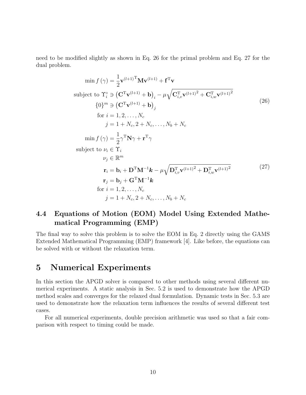need to be modified slightly as shown in Eq. 26 for the primal problem and Eq. 27 for the dual problem.

$$
\min f(\gamma) = \frac{1}{2} \mathbf{v}^{(l+1)} \mathbf{M} \mathbf{v}^{(l+1)} + \mathbf{f}^T \mathbf{v}
$$
\nsubject to  $\Upsilon_i^{\circ} \ni (\mathbf{C}^T \mathbf{v}^{(l+1)} + \mathbf{b})_i - \mu \sqrt{\mathbf{C}_{i,v}^T \mathbf{v}^{(l+1)^2} + \mathbf{C}_{i,w}^T \mathbf{v}^{(l+1)^2}}$ \n
$$
\{0\}^m \ni (\mathbf{C}^T \mathbf{v}^{(l+1)} + \mathbf{b})_j
$$
\nfor  $i = 1, 2, ..., N_c$   
\n $j = 1 + N_c, 2 + N_c, ..., N_b + N_c$   
\n $\min f(\gamma) = \frac{1}{2} \gamma^T \mathbf{N} \gamma + \mathbf{r}^T \gamma$   
\nsubject to  $\nu_i \in \Upsilon_i$   
\n $\nu_j \in \mathbb{R}^m$   
\n $\mathbf{r}_i = \mathbf{b}_i + \mathbf{D}^T \mathbf{M}^{-1} \mathbf{k} - \mu \sqrt{\mathbf{D}_{i,v}^T \mathbf{v}^{(l+1)^2} + \mathbf{D}_{i,w}^T \mathbf{v}^{(l+1)^2}}$ \n $\mathbf{r}_j = \mathbf{b}_j + \mathbf{G}^T \mathbf{M}^{-1} \mathbf{k}$   
\nfor  $i = 1, 2, ..., N_c$   
\n $j = 1 + N_c, 2 + N_c, ..., N_b + N_c$ \n\n
$$
(27)
$$

### 4.4 Equations of Motion (EOM) Model Using Extended Mathematical Programming (EMP)

The final way to solve this problem is to solve the EOM in Eq. 2 directly using the GAMS Extended Mathematical Programming (EMP) framework [4]. Like before, the equations can be solved with or without the relaxation term.

## 5 Numerical Experiments

In this section the APGD solver is compared to other methods using several different numerical experiments. A static analysis in Sec. 5.2 is used to demonstrate how the APGD method scales and converges for the relaxed dual formulation. Dynamic tests in Sec. 5.3 are used to demonstrate how the relaxation term influences the results of several different test cases.

For all numerical experiments, double precision arithmetic was used so that a fair comparison with respect to timing could be made.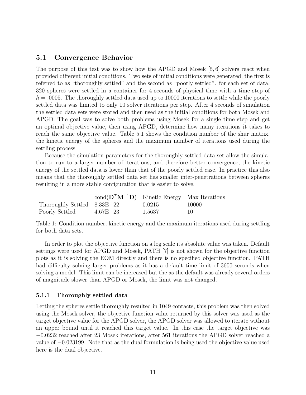### 5.1 Convergence Behavior

The purpose of this test was to show how the APGD and Mosek [5, 6] solvers react when provided different initial conditions. Two sets of initial conditions were generated, the first is referred to as "thoroughly settled" and the second as "poorly settled". for each set of data, 320 spheres were settled in a container for 4 seconds of physical time with a time step of  $h = 0.0005$ . The thoroughly settled data used up to 10000 iterations to settle while the poorly settled data was limited to only 10 solver iterations per step. After 4 seconds of simulation the settled data sets were stored and then used as the initial conditions for both Mosek and APGD. The goal was to solve both problems using Mosek for a single time step and get an optimal objective value, then using APGD, determine how many iterations it takes to reach the same objective value. Table 5.1 shows the condition number of the shur matrix, the kinetic energy of the spheres and the maximum number of iterations used during the settling process.

Because the simulation parameters for the thoroughly settled data set allow the simulation to run to a larger number of iterations, and therefore better convergence, the kinetic energy of the settled data is lower than that of the poorly settled case. In practice this also means that the thoroughly settled data set has smaller inter-penetrations between spheres resulting in a more stable configuration that is easier to solve.

|                               | cond $(D^T M^{-1} D)$ Kinetic Energy Max Iterations |        |        |
|-------------------------------|-----------------------------------------------------|--------|--------|
| Thoroughly Settled $8.33E+22$ |                                                     | 0.0215 | -10000 |
| Poorly Settled                | $4.67E + 23$                                        | 1.5637 | 10     |

Table 1: Condition number, kinetic energy and the maximum iterations used during settling for both data sets.

In order to plot the objective function on a log scale its absolute value was taken. Default settings were used for APGD and Mosek, PATH [7] is not shown for the objective function plots as it is solving the EOM directly and there is no specified objective function. PATH had difficulty solving larger problems as it has a default time limit of 3600 seconds when solving a model. This limit can be increased but the as the default was already several orders of magnitude slower than APGD or Mosek, the limit was not changed.

#### 5.1.1 Thoroughly settled data

Letting the spheres settle thoroughly resulted in 1049 contacts, this problem was then solved using the Mosek solver, the objective function value returned by this solver was used as the target objective value for the APGD solver, the APGD solver was allowed to iterate without an upper bound until it reached this target value. In this case the target objective was −0.0232 reached after 23 Mosek iterations, after 561 iterations the APGD solver reached a value of −0.023199. Note that as the dual formulation is being used the objective value used here is the dual objective.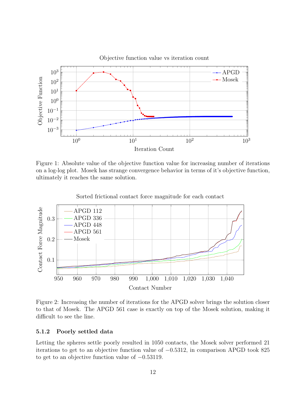

Figure 1: Absolute value of the objective function value for increasing number of iterations on a log-log plot. Mosek has strange convergence behavior in terms of it's objective function, ultimately it reaches the same solution.



Sorted frictional contact force magnitude for each contact

Figure 2: Increasing the number of iterations for the APGD solver brings the solution closer to that of Mosek. The APGD 561 case is exactly on top of the Mosek solution, making it difficult to see the line.

#### 5.1.2 Poorly settled data

Letting the spheres settle poorly resulted in 1050 contacts, the Mosek solver performed 21 iterations to get to an objective function value of −0.5312, in comparison APGD took 825 to get to an objective function value of −0.53119.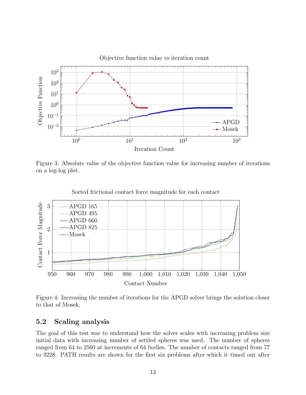

Figure 3: Absolute value of the objective function value for increasing number of iterations on a log-log plot.



Sorted frictional contact force magnitude for each contact

Figure 4: Increasing the number of iterations for the APGD solver brings the solution closer to that of Mosek.

### 5.2 Scaling analysis

The goal of this test was to understand how the solver scales with increasing problem size initial data with increasing number of settled spheres was used. The number of spheres ranged from 64 to 2560 at increments of 64 bodies. The number of contacts ranged from 77 to 9228. PATH results are shown for the first six problems after which it timed out after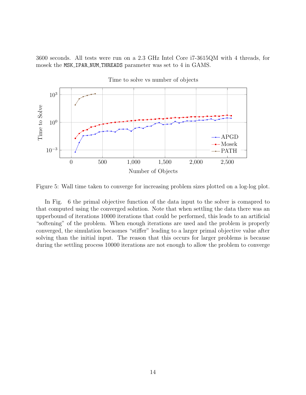3600 seconds. All tests were run on a 2.3 GHz Intel Core i7-3615QM with 4 threads, for mosek the MSK\_IPAR\_NUM\_THREADS parameter was set to 4 in GAMS.



Figure 5: Wall time taken to converge for increasing problem sizes plotted on a log-log plot.

In Fig. 6 the primal objective function of the data input to the solver is comapred to that computed using the converged solution. Note that when settling the data there was an upperbound of iterations 10000 iterations that could be performed, this leads to an artificial "softening" of the problem. When enough iterations are used and the problem is properly converged, the simulation becaomes "stiffer" leading to a larger primal objective value after solving than the initial input. The reason that this occurs for larger problems is because during the settling process 10000 iterations are not enough to allow the problem to converge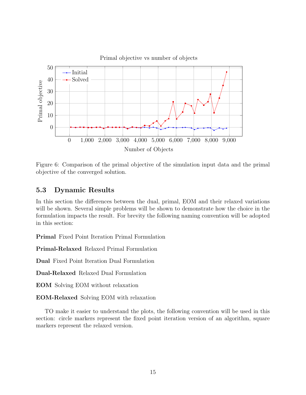

Figure 6: Comparison of the primal objective of the simulation input data and the primal objective of the converged solution.

### 5.3 Dynamic Results

In this section the differences between the dual, primal, EOM and their relaxed variations will be shown. Several simple problems will be shown to demonstrate how the choice in the formulation impacts the result. For brevity the following naming convention will be adopted in this section:

Primal Fixed Point Iteration Primal Formulation

Primal-Relaxed Relaxed Primal Formulation

Dual Fixed Point Iteration Dual Formulation

Dual-Relaxed Relaxed Dual Formulation

EOM Solving EOM without relaxation

EOM-Relaxed Solving EOM with relaxation

TO make it easier to understand the plots, the following convention will be used in this section: circle markers represent the fixed point iteration version of an algorithm, square markers represent the relaxed version.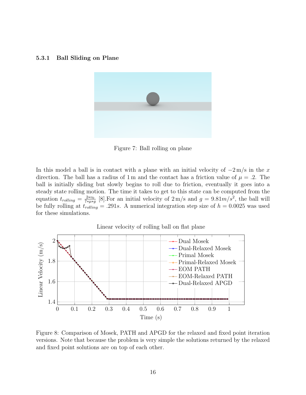#### 5.3.1 Ball Sliding on Plane



Figure 7: Ball rolling on plane

In this model a ball is in contact with a plane with an initial velocity of  $-2 \text{ m/s}$  in the x direction. The ball has a radius of 1 m and the contact has a friction value of  $\mu = .2$ . The ball is initially sliding but slowly begins to roll due to friction, eventually it goes into a steady state rolling motion. The time it takes to get to this state can be computed from the equation  $t_{rolling} = \frac{2*v_0}{7*u_*}$  $\frac{2*v_0}{7*\mu*g}$  [8]. For an initial velocity of  $2 \,\mathrm{m/s}$  and  $g = 9.81m/s^2$ , the ball will be fully rolling at  $t_{rolling} = .291s$ . A numerical integration step size of  $h = 0.0025$  was used for these simulations.



Figure 8: Comparison of Mosek, PATH and APGD for the relaxed and fixed point iteration versions. Note that because the problem is very simple the solutions returned by the relaxed and fixed point solutions are on top of each other.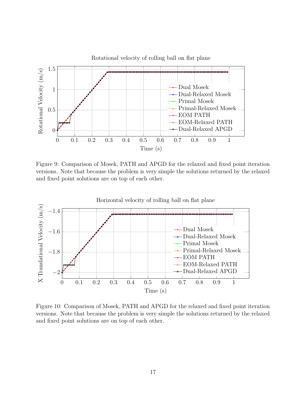

Figure 9: Comparison of Mosek, PATH and APGD for the relaxed and fixed point iteration versions. Note that because the problem is very simple the solutions returned by the relaxed and fixed point solutions are on top of each other.



Figure 10: Comparison of Mosek, PATH and APGD for the relaxed and fixed point iteration versions. Note that because the problem is very simple the solutions returned by the relaxed and fixed point solutions are on top of each other.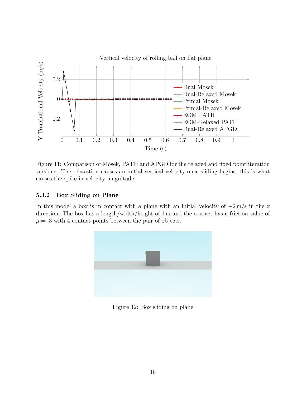

Figure 11: Comparison of Mosek, PATH and APGD for the relaxed and fixed point iteration versions. The relaxation causes an initial vertical velocity once sliding begins, this is what causes the spike in velocity magnitude.

### 5.3.2 Box Sliding on Plane

In this model a box is in contact with a plane with an initial velocity of  $-2 \text{ m/s}$  in the x direction. The box has a length/width/height of 1 m and the contact has a friction value of  $\mu = 0.3$  with 4 contact points between the pair of objects.



Figure 12: Box sliding on plane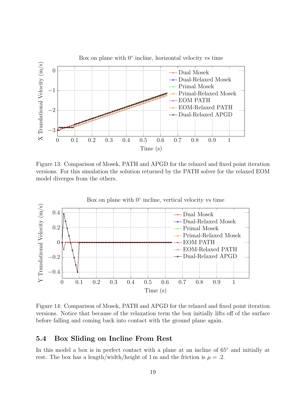

Figure 13: Comparison of Mosek, PATH and APGD for the relaxed and fixed point iteration versions. For this simulation the solution returned by the PATH solver for the relaxed EOM model diverges from the others.



Figure 14: Comparison of Mosek, PATH and APGD for the relaxed and fixed point iteration versions. Notice that because of the relaxation term the box initially lifts off of the surface before falling and coming back into contact with the ground plane again.

### 5.4 Box Sliding on Incline From Rest

In this model a box is in perfect contact with a plane at an incline of  $65°$  and initially at rest. The box has a length/width/height of 1 m and the friction is  $\mu = .2$ .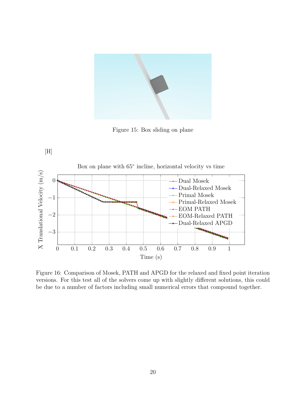

Figure 15: Box sliding on plane



Figure 16: Comparison of Mosek, PATH and APGD for the relaxed and fixed point iteration versions. For this test all of the solvers come up with slightly different solutions, this could be due to a number of factors including small numerical errors that compound together.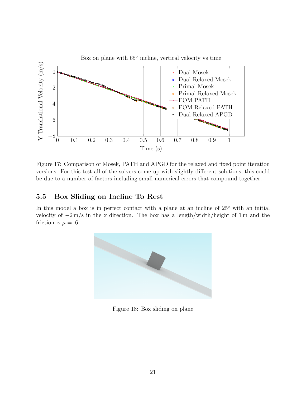

Figure 17: Comparison of Mosek, PATH and APGD for the relaxed and fixed point iteration versions. For this test all of the solvers come up with slightly different solutions, this could be due to a number of factors including small numerical errors that compound together.

### 5.5 Box Sliding on Incline To Rest

In this model a box is in perfect contact with a plane at an incline of 25<sup>°</sup> with an initial velocity of  $-2 \text{ m/s}$  in the x direction. The box has a length/width/height of 1 m and the friction is  $\mu = .6$ .



Figure 18: Box sliding on plane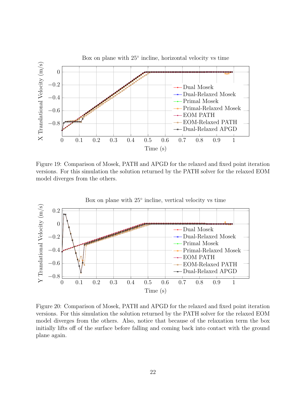

Figure 19: Comparison of Mosek, PATH and APGD for the relaxed and fixed point iteration versions. For this simulation the solution returned by the PATH solver for the relaxed EOM model diverges from the others.



Figure 20: Comparison of Mosek, PATH and APGD for the relaxed and fixed point iteration versions. For this simulation the solution returned by the PATH solver for the relaxed EOM model diverges from the others. Also, notice that because of the relaxation term the box initially lifts off of the surface before falling and coming back into contact with the ground plane again.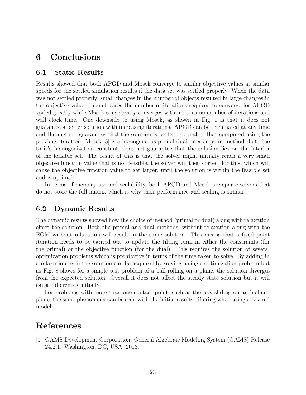# 6 Conclusions

#### 6.1 Static Results

Results showed that both APGD and Mosek converge to similar objective values at similar speeds for the settled simulation results if the data set was settled properly. When the data was not settled properly, small changes in the number of objects resulted in large changes in the objective value. In such cases the number of iterations required to converge for APGD varied greatly while Mosek consistently converges within the same number of iterations and wall clock time. One downside to using Mosek, as shown in Fig. 1 is that it does not guarantee a better solution with increasing iterations. APGD can be terminated at any time and the method guarantees that the solution is better or equal to that computed using the previous iteration. Mosek [5] is a homogeneous primal-dual interior point method that, due to it's homogenization constant, does not guarantee that the solution lies on the interior of the feasible set. The result of this is that the solver might initially reach a very small objective function value that is not feasible, the solver will then correct for this, which will cause the objective function value to get larger, until the solution is within the feasible set and is optimal.

In terms of memory use and scalability, both APGD and Mosek are sparse solvers that do not store the full matrix which is why their performance and scaling is similar.

#### 6.2 Dynamic Results

The dynamic results showed how the choice of method (primal or dual) along with relaxation effect the solution. Both the primal and dual methods, without relaxation along with the EOM without relaxation will result in the same solution. This means that a fixed point iteration needs to be carried out to update the tilting term in either the constraints (for the primal) or the objective function (for the dual). This requires the solution of several optimization problems which is prohibitive in terms of the time taken to solve. By adding in a relaxation term the solution can be acquired by solving a single optimization problem but as Fig. 8 shows for a simple test problem of a ball rolling on a plane, the solution diverges from the expected solution. Overall it does not affect the steady state solution but it will cause differences initially.

For problems with more than one contact point, such as the box sliding on an inclined plane, the same phenomena can be seen with the initial results differing when using a relaxed model.

### References

[1] GAMS Development Corporation. General Algebraic Modeling System (GAMS) Release 24.2.1. Washington, DC, USA, 2013.